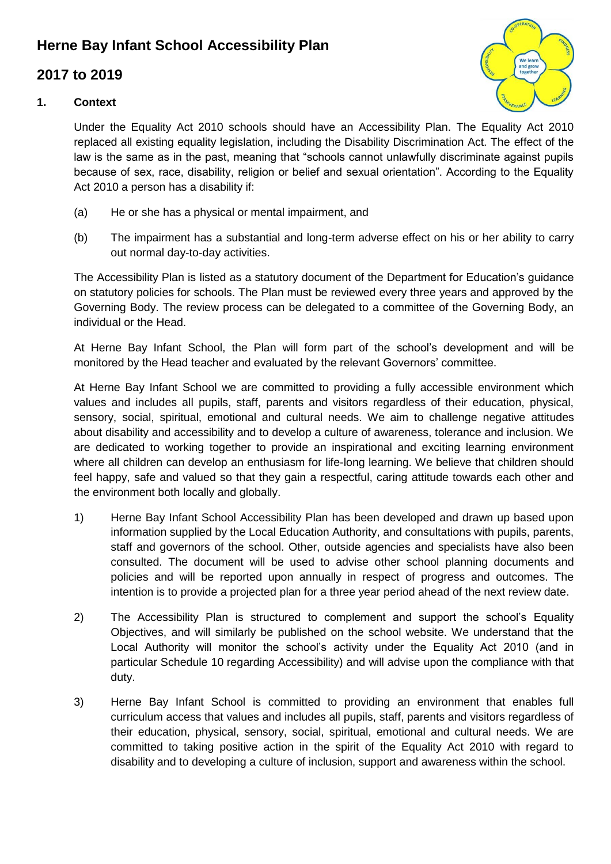## **Herne Bay Infant School Accessibility Plan**

### **2017 to 2019**



#### **1. Context**

Under the Equality Act 2010 schools should have an Accessibility Plan. The Equality Act 2010 replaced all existing equality legislation, including the Disability Discrimination Act. The effect of the law is the same as in the past, meaning that "schools cannot unlawfully discriminate against pupils because of sex, race, disability, religion or belief and sexual orientation". According to the Equality Act 2010 a person has a disability if:

- (a) He or she has a physical or mental impairment, and
- (b) The impairment has a substantial and long-term adverse effect on his or her ability to carry out normal day-to-day activities.

The Accessibility Plan is listed as a statutory document of the Department for Education's guidance on statutory policies for schools. The Plan must be reviewed every three years and approved by the Governing Body. The review process can be delegated to a committee of the Governing Body, an individual or the Head.

At Herne Bay Infant School, the Plan will form part of the school's development and will be monitored by the Head teacher and evaluated by the relevant Governors' committee.

At Herne Bay Infant School we are committed to providing a fully accessible environment which values and includes all pupils, staff, parents and visitors regardless of their education, physical, sensory, social, spiritual, emotional and cultural needs. We aim to challenge negative attitudes about disability and accessibility and to develop a culture of awareness, tolerance and inclusion. We are dedicated to working together to provide an inspirational and exciting learning environment where all children can develop an enthusiasm for life-long learning. We believe that children should feel happy, safe and valued so that they gain a respectful, caring attitude towards each other and the environment both locally and globally.

- 1) Herne Bay Infant School Accessibility Plan has been developed and drawn up based upon information supplied by the Local Education Authority, and consultations with pupils, parents, staff and governors of the school. Other, outside agencies and specialists have also been consulted. The document will be used to advise other school planning documents and policies and will be reported upon annually in respect of progress and outcomes. The intention is to provide a projected plan for a three year period ahead of the next review date.
- 2) The Accessibility Plan is structured to complement and support the school's Equality Objectives, and will similarly be published on the school website. We understand that the Local Authority will monitor the school's activity under the Equality Act 2010 (and in particular Schedule 10 regarding Accessibility) and will advise upon the compliance with that duty.
- 3) Herne Bay Infant School is committed to providing an environment that enables full curriculum access that values and includes all pupils, staff, parents and visitors regardless of their education, physical, sensory, social, spiritual, emotional and cultural needs. We are committed to taking positive action in the spirit of the Equality Act 2010 with regard to disability and to developing a culture of inclusion, support and awareness within the school.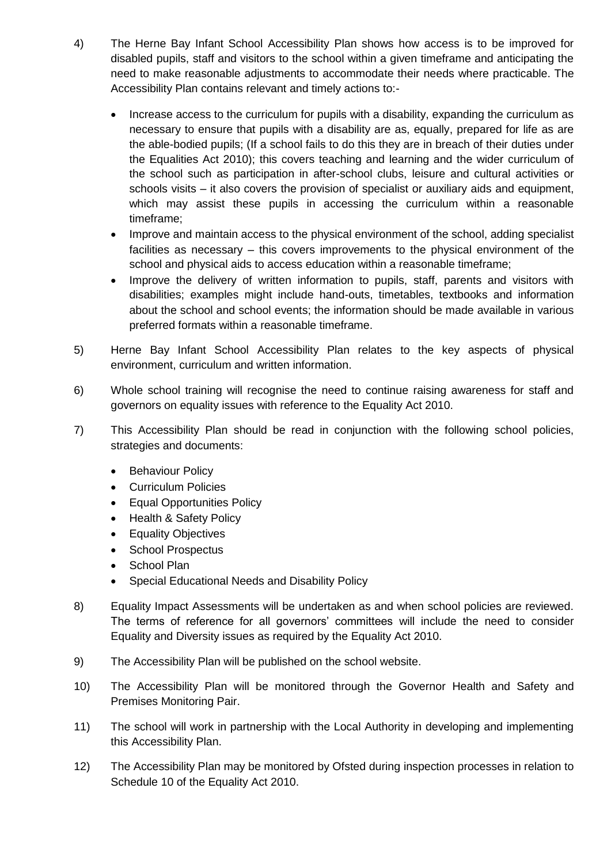- 4) The Herne Bay Infant School Accessibility Plan shows how access is to be improved for disabled pupils, staff and visitors to the school within a given timeframe and anticipating the need to make reasonable adjustments to accommodate their needs where practicable. The Accessibility Plan contains relevant and timely actions to:-
	- Increase access to the curriculum for pupils with a disability, expanding the curriculum as necessary to ensure that pupils with a disability are as, equally, prepared for life as are the able-bodied pupils; (If a school fails to do this they are in breach of their duties under the Equalities Act 2010); this covers teaching and learning and the wider curriculum of the school such as participation in after-school clubs, leisure and cultural activities or schools visits – it also covers the provision of specialist or auxiliary aids and equipment, which may assist these pupils in accessing the curriculum within a reasonable timeframe;
	- Improve and maintain access to the physical environment of the school, adding specialist facilities as necessary – this covers improvements to the physical environment of the school and physical aids to access education within a reasonable timeframe;
	- Improve the delivery of written information to pupils, staff, parents and visitors with disabilities; examples might include hand-outs, timetables, textbooks and information about the school and school events; the information should be made available in various preferred formats within a reasonable timeframe.
- 5) Herne Bay Infant School Accessibility Plan relates to the key aspects of physical environment, curriculum and written information.
- 6) Whole school training will recognise the need to continue raising awareness for staff and governors on equality issues with reference to the Equality Act 2010.
- 7) This Accessibility Plan should be read in conjunction with the following school policies, strategies and documents:
	- Behaviour Policy
	- Curriculum Policies
	- Equal Opportunities Policy
	- Health & Safety Policy
	- Equality Objectives
	- School Prospectus
	- School Plan
	- Special Educational Needs and Disability Policy
- 8) Equality Impact Assessments will be undertaken as and when school policies are reviewed. The terms of reference for all governors' committees will include the need to consider Equality and Diversity issues as required by the Equality Act 2010.
- 9) The Accessibility Plan will be published on the school website.
- 10) The Accessibility Plan will be monitored through the Governor Health and Safety and Premises Monitoring Pair.
- 11) The school will work in partnership with the Local Authority in developing and implementing this Accessibility Plan.
- 12) The Accessibility Plan may be monitored by Ofsted during inspection processes in relation to Schedule 10 of the Equality Act 2010.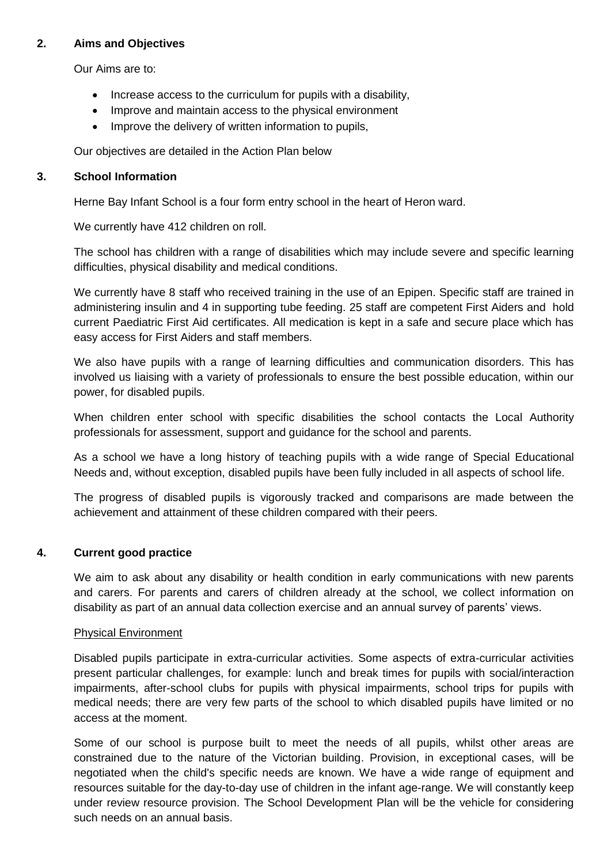#### **2. Aims and Objectives**

Our Aims are to:

- Increase access to the curriculum for pupils with a disability,
- Improve and maintain access to the physical environment
- Improve the delivery of written information to pupils,

Our objectives are detailed in the Action Plan below

#### **3. School Information**

Herne Bay Infant School is a four form entry school in the heart of Heron ward.

We currently have 412 children on roll.

The school has children with a range of disabilities which may include severe and specific learning difficulties, physical disability and medical conditions.

We currently have 8 staff who received training in the use of an Epipen. Specific staff are trained in administering insulin and 4 in supporting tube feeding. 25 staff are competent First Aiders and hold current Paediatric First Aid certificates. All medication is kept in a safe and secure place which has easy access for First Aiders and staff members.

We also have pupils with a range of learning difficulties and communication disorders. This has involved us liaising with a variety of professionals to ensure the best possible education, within our power, for disabled pupils.

When children enter school with specific disabilities the school contacts the Local Authority professionals for assessment, support and guidance for the school and parents.

As a school we have a long history of teaching pupils with a wide range of Special Educational Needs and, without exception, disabled pupils have been fully included in all aspects of school life.

The progress of disabled pupils is vigorously tracked and comparisons are made between the achievement and attainment of these children compared with their peers.

#### **4. Current good practice**

We aim to ask about any disability or health condition in early communications with new parents and carers. For parents and carers of children already at the school, we collect information on disability as part of an annual data collection exercise and an annual survey of parents' views.

#### Physical Environment

Disabled pupils participate in extra-curricular activities. Some aspects of extra-curricular activities present particular challenges, for example: lunch and break times for pupils with social/interaction impairments, after-school clubs for pupils with physical impairments, school trips for pupils with medical needs; there are very few parts of the school to which disabled pupils have limited or no access at the moment.

Some of our school is purpose built to meet the needs of all pupils, whilst other areas are constrained due to the nature of the Victorian building. Provision, in exceptional cases, will be negotiated when the child's specific needs are known. We have a wide range of equipment and resources suitable for the day-to-day use of children in the infant age-range. We will constantly keep under review resource provision. The School Development Plan will be the vehicle for considering such needs on an annual basis.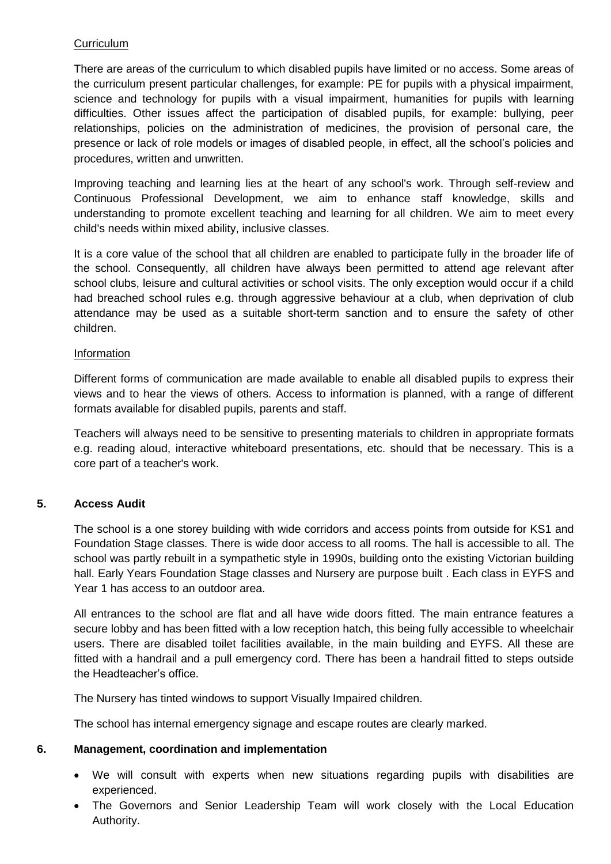#### **Curriculum**

There are areas of the curriculum to which disabled pupils have limited or no access. Some areas of the curriculum present particular challenges, for example: PE for pupils with a physical impairment, science and technology for pupils with a visual impairment, humanities for pupils with learning difficulties. Other issues affect the participation of disabled pupils, for example: bullying, peer relationships, policies on the administration of medicines, the provision of personal care, the presence or lack of role models or images of disabled people, in effect, all the school's policies and procedures, written and unwritten.

Improving teaching and learning lies at the heart of any school's work. Through self-review and Continuous Professional Development, we aim to enhance staff knowledge, skills and understanding to promote excellent teaching and learning for all children. We aim to meet every child's needs within mixed ability, inclusive classes.

It is a core value of the school that all children are enabled to participate fully in the broader life of the school. Consequently, all children have always been permitted to attend age relevant after school clubs, leisure and cultural activities or school visits. The only exception would occur if a child had breached school rules e.g. through aggressive behaviour at a club, when deprivation of club attendance may be used as a suitable short-term sanction and to ensure the safety of other children.

#### Information

Different forms of communication are made available to enable all disabled pupils to express their views and to hear the views of others. Access to information is planned, with a range of different formats available for disabled pupils, parents and staff.

Teachers will always need to be sensitive to presenting materials to children in appropriate formats e.g. reading aloud, interactive whiteboard presentations, etc. should that be necessary. This is a core part of a teacher's work.

#### **5. Access Audit**

The school is a one storey building with wide corridors and access points from outside for KS1 and Foundation Stage classes. There is wide door access to all rooms. The hall is accessible to all. The school was partly rebuilt in a sympathetic style in 1990s, building onto the existing Victorian building hall. Early Years Foundation Stage classes and Nursery are purpose built . Each class in EYFS and Year 1 has access to an outdoor area.

All entrances to the school are flat and all have wide doors fitted. The main entrance features a secure lobby and has been fitted with a low reception hatch, this being fully accessible to wheelchair users. There are disabled toilet facilities available, in the main building and EYFS. All these are fitted with a handrail and a pull emergency cord. There has been a handrail fitted to steps outside the Headteacher's office.

The Nursery has tinted windows to support Visually Impaired children.

The school has internal emergency signage and escape routes are clearly marked.

#### **6. Management, coordination and implementation**

- We will consult with experts when new situations regarding pupils with disabilities are experienced.
- The Governors and Senior Leadership Team will work closely with the Local Education Authority.